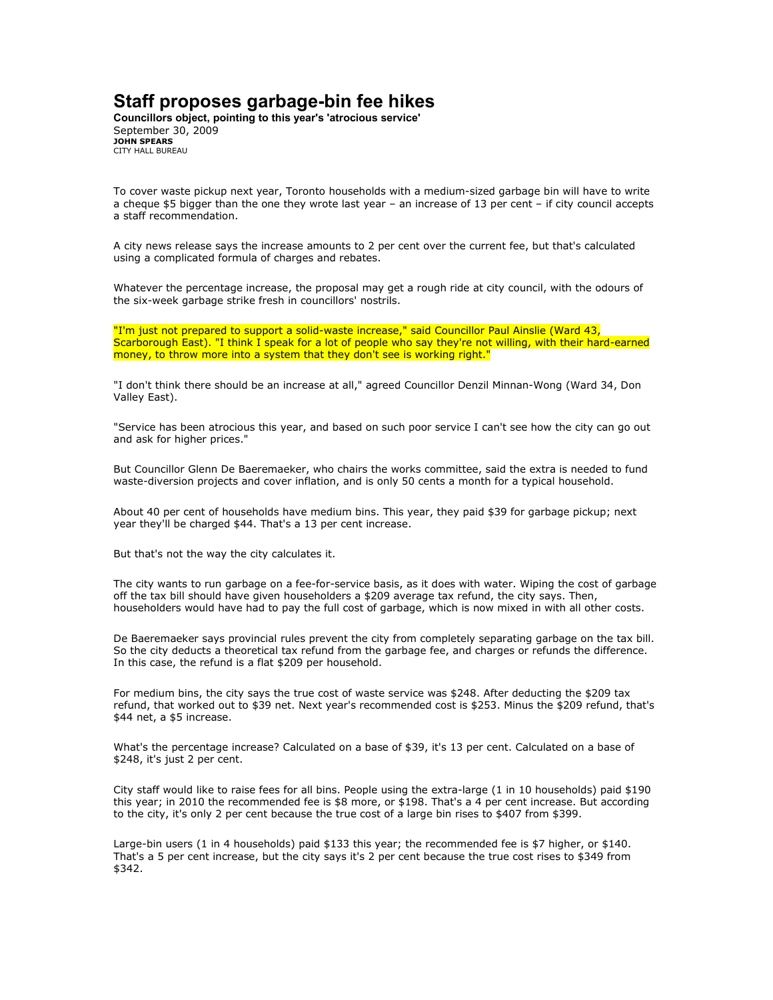## Staff proposes garbage-bin fee hikes

Councillors object, pointing to this year's 'atrocious service' September 30, 2009 JOHN SPEARS CITY HALL BUREAU

To cover waste pickup next year, Toronto households with a medium-sized garbage bin will have to write a cheque \$5 bigger than the one they wrote last year – an increase of 13 per cent – if city council accepts a staff recommendation.

A city news release says the increase amounts to 2 per cent over the current fee, but that's calculated using a complicated formula of charges and rebates.

Whatever the percentage increase, the proposal may get a rough ride at city council, with the odours of the six-week garbage strike fresh in councillors' nostrils.

"I'm just not prepared to support a solid-waste increase," said Councillor Paul Ainslie (Ward 43, Scarborough East). "I think I speak for a lot of people who say they're not willing, with their hard-earned money, to throw more into a system that they don't see is working right."

"I don't think there should be an increase at all," agreed Councillor Denzil Minnan-Wong (Ward 34, Don Valley East).

"Service has been atrocious this year, and based on such poor service I can't see how the city can go out and ask for higher prices."

But Councillor Glenn De Baeremaeker, who chairs the works committee, said the extra is needed to fund waste-diversion projects and cover inflation, and is only 50 cents a month for a typical household.

About 40 per cent of households have medium bins. This year, they paid \$39 for garbage pickup; next year they'll be charged \$44. That's a 13 per cent increase.

But that's not the way the city calculates it.

The city wants to run garbage on a fee-for-service basis, as it does with water. Wiping the cost of garbage off the tax bill should have given householders a \$209 average tax refund, the city says. Then, householders would have had to pay the full cost of garbage, which is now mixed in with all other costs.

De Baeremaeker says provincial rules prevent the city from completely separating garbage on the tax bill. So the city deducts a theoretical tax refund from the garbage fee, and charges or refunds the difference. In this case, the refund is a flat \$209 per household.

For medium bins, the city says the true cost of waste service was \$248. After deducting the \$209 tax refund, that worked out to \$39 net. Next year's recommended cost is \$253. Minus the \$209 refund, that's \$44 net, a \$5 increase.

What's the percentage increase? Calculated on a base of \$39, it's 13 per cent. Calculated on a base of \$248, it's just 2 per cent.

City staff would like to raise fees for all bins. People using the extra-large (1 in 10 households) paid \$190 this year; in 2010 the recommended fee is \$8 more, or \$198. That's a 4 per cent increase. But according to the city, it's only 2 per cent because the true cost of a large bin rises to \$407 from \$399.

Large-bin users (1 in 4 households) paid \$133 this year; the recommended fee is \$7 higher, or \$140. That's a 5 per cent increase, but the city says it's 2 per cent because the true cost rises to \$349 from \$342.